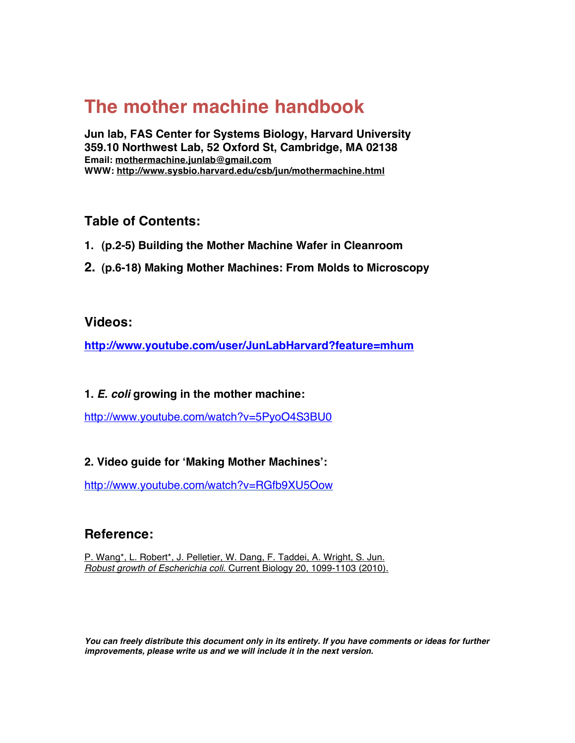# **The mother machine handbook**

**Jun lab, FAS Center for Systems Biology, Harvard University 359.10 Northwest Lab, 52 Oxford St, Cambridge, MA 02138 Email: mothermachine.junlab@gmail.com WWW: http://www.sysbio.harvard.edu/csb/jun/mothermachine.html**

## **Table of Contents:**

- **1. (p.2-5) Building the Mother Machine Wafer in Cleanroom**
- **2. (p.6-18) Making Mother Machines: From Molds to Microscopy**

## **Videos:**

**http://www.youtube.com/user/JunLabHarvard?feature=mhum**

## **1.** *E. coli* **growing in the mother machine:**

http://www.youtube.com/watch?v=5PyoO4S3BU0

## **2. Video guide for ʻMaking Mother Machines':**

http://www.youtube.com/watch?v=RGfb9XU5Oow

## **Reference:**

P. Wang\*, L. Robert\*, J. Pelletier, W. Dang, F. Taddei, A. Wright, S. Jun. *Robust growth of Escherichia coli*. Current Biology 20, 1099-1103 (2010).

*You can freely distribute this document only in its entirety. If you have comments or ideas for further improvements, please write us and we will include it in the next version.*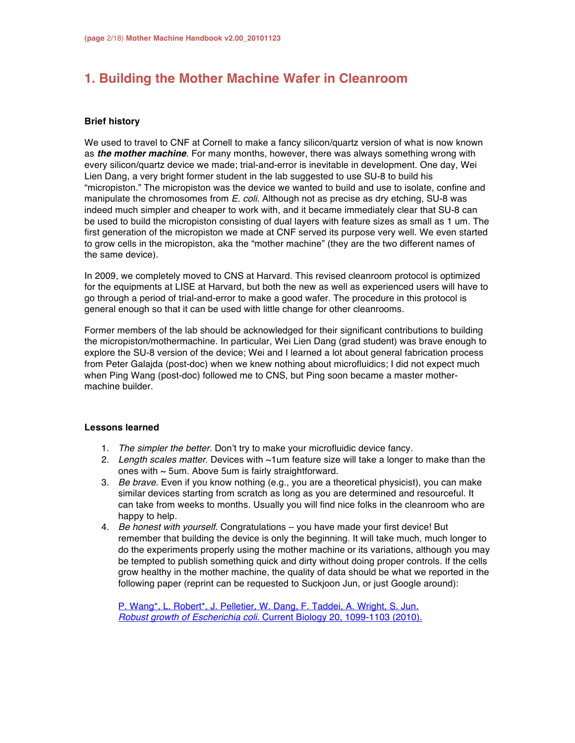## **1. Building the Mother Machine Wafer in Cleanroom**

### **Brief history**

We used to travel to CNF at Cornell to make a fancy silicon/quartz version of what is now known as *the mother machine*. For many months, however, there was always something wrong with every silicon/quartz device we made; trial-and-error is inevitable in development. One day, Wei Lien Dang, a very bright former student in the lab suggested to use SU-8 to build his "micropiston." The micropiston was the device we wanted to build and use to isolate, confine and manipulate the chromosomes from *E. coli*. Although not as precise as dry etching, SU-8 was indeed much simpler and cheaper to work with, and it became immediately clear that SU-8 can be used to build the micropiston consisting of dual layers with feature sizes as small as 1 um. The first generation of the micropiston we made at CNF served its purpose very well. We even started to grow cells in the micropiston, aka the "mother machine" (they are the two different names of the same device).

In 2009, we completely moved to CNS at Harvard. This revised cleanroom protocol is optimized for the equipments at LISE at Harvard, but both the new as well as experienced users will have to go through a period of trial-and-error to make a good wafer. The procedure in this protocol is general enough so that it can be used with little change for other cleanrooms.

Former members of the lab should be acknowledged for their significant contributions to building the micropiston/mothermachine. In particular, Wei Lien Dang (grad student) was brave enough to explore the SU-8 version of the device; Wei and I learned a lot about general fabrication process from Peter Galajda (post-doc) when we knew nothing about microfluidics; I did not expect much when Ping Wang (post-doc) followed me to CNS, but Ping soon became a master mothermachine builder.

### **Lessons learned**

- 1. *The simpler the better*. Don't try to make your microfluidic device fancy.
- 2. *Length scales matter*. Devices with ~1um feature size will take a longer to make than the ones with  $\sim$  5um. Above 5um is fairly straightforward.
- 3. *Be brave*. Even if you know nothing (e.g., you are a theoretical physicist), you can make similar devices starting from scratch as long as you are determined and resourceful. It can take from weeks to months. Usually you will find nice folks in the cleanroom who are happy to help.
- 4. *Be honest with yourself*. Congratulations you have made your first device! But remember that building the device is only the beginning. It will take much, much longer to do the experiments properly using the mother machine or its variations, although you may be tempted to publish something quick and dirty without doing proper controls. If the cells grow healthy in the mother machine, the quality of data should be what we reported in the following paper (reprint can be requested to Suckjoon Jun, or just Google around):

P. Wang\*, L. Robert\*, J. Pelletier, W. Dang, F. Taddei, A. Wright, S. Jun. *Robust growth of Escherichia coli*. Current Biology 20, 1099-1103 (2010).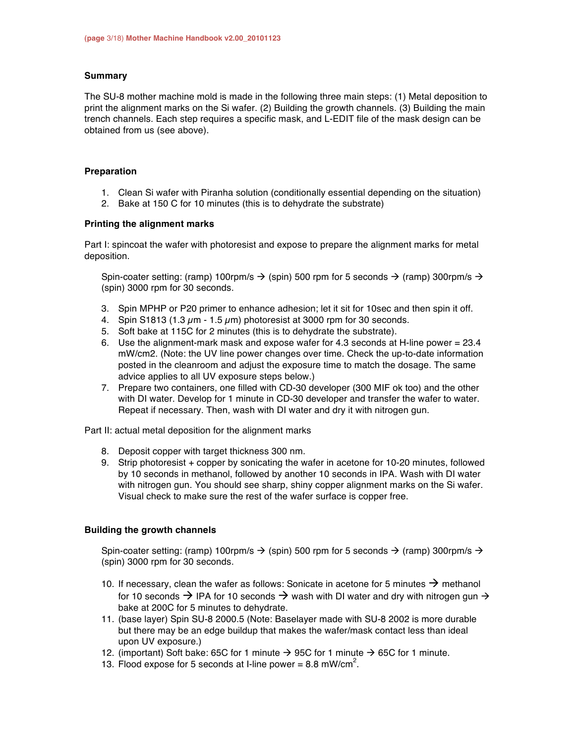#### **Summary**

The SU-8 mother machine mold is made in the following three main steps: (1) Metal deposition to print the alignment marks on the Si wafer. (2) Building the growth channels. (3) Building the main trench channels. Each step requires a specific mask, and L-EDIT file of the mask design can be obtained from us (see above).

### **Preparation**

- 1. Clean Si wafer with Piranha solution (conditionally essential depending on the situation)
- 2. Bake at 150 C for 10 minutes (this is to dehydrate the substrate)

### **Printing the alignment marks**

Part I: spincoat the wafer with photoresist and expose to prepare the alignment marks for metal deposition.

Spin-coater setting: (ramp) 100rpm/s  $\rightarrow$  (spin) 500 rpm for 5 seconds  $\rightarrow$  (ramp) 300rpm/s  $\rightarrow$ (spin) 3000 rpm for 30 seconds.

- 3. Spin MPHP or P20 primer to enhance adhesion; let it sit for 10sec and then spin it off.
- 4. Spin S1813 (1.3  $\mu$ m 1.5  $\mu$ m) photoresist at 3000 rpm for 30 seconds.
- 5. Soft bake at 115C for 2 minutes (this is to dehydrate the substrate).
- 6. Use the alignment-mark mask and expose wafer for 4.3 seconds at H-line power = 23.4 mW/cm2. (Note: the UV line power changes over time. Check the up-to-date information posted in the cleanroom and adjust the exposure time to match the dosage. The same advice applies to all UV exposure steps below.)
- 7. Prepare two containers, one filled with CD-30 developer (300 MIF ok too) and the other with DI water. Develop for 1 minute in CD-30 developer and transfer the wafer to water. Repeat if necessary. Then, wash with DI water and dry it with nitrogen gun.

Part II: actual metal deposition for the alignment marks

- 8. Deposit copper with target thickness 300 nm.
- 9. Strip photoresist + copper by sonicating the wafer in acetone for 10-20 minutes, followed by 10 seconds in methanol, followed by another 10 seconds in IPA. Wash with DI water with nitrogen gun. You should see sharp, shiny copper alignment marks on the Si wafer. Visual check to make sure the rest of the wafer surface is copper free.

### **Building the growth channels**

Spin-coater setting: (ramp) 100rpm/s  $\rightarrow$  (spin) 500 rpm for 5 seconds  $\rightarrow$  (ramp) 300rpm/s  $\rightarrow$ (spin) 3000 rpm for 30 seconds.

- 10. If necessary, clean the wafer as follows: Sonicate in acetone for 5 minutes  $\rightarrow$  methanol for 10 seconds  $\rightarrow$  IPA for 10 seconds  $\rightarrow$  wash with DI water and dry with nitrogen gun  $\rightarrow$ bake at 200C for 5 minutes to dehydrate.
- 11. (base layer) Spin SU-8 2000.5 (Note: Baselayer made with SU-8 2002 is more durable but there may be an edge buildup that makes the wafer/mask contact less than ideal upon UV exposure.)
- 12. (important) Soft bake: 65C for 1 minute  $\rightarrow$  95C for 1 minute  $\rightarrow$  65C for 1 minute.
- 13. Flood expose for 5 seconds at I-line power = 8.8 mW/cm<sup>2</sup>.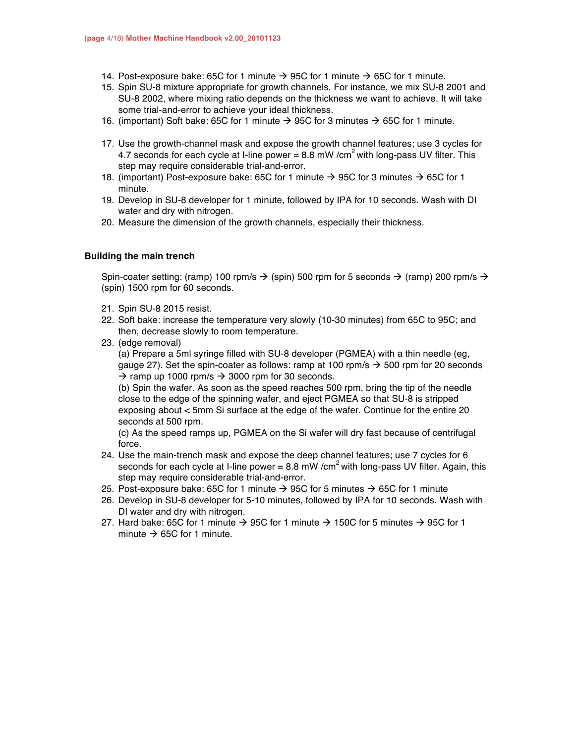- 14. Post-exposure bake: 65C for 1 minute  $\rightarrow$  95C for 1 minute  $\rightarrow$  65C for 1 minute.
- 15. Spin SU-8 mixture appropriate for growth channels. For instance, we mix SU-8 2001 and SU-8 2002, where mixing ratio depends on the thickness we want to achieve. It will take some trial-and-error to achieve your ideal thickness.
- 16. (important) Soft bake: 65C for 1 minute  $\rightarrow$  95C for 3 minutes  $\rightarrow$  65C for 1 minute.
- 17. Use the growth-channel mask and expose the growth channel features; use 3 cycles for 4.7 seconds for each cycle at I-line power = 8.8 mW /cm<sup>2</sup> with long-pass UV filter. This step may require considerable trial-and-error.
- 18. (important) Post-exposure bake: 65C for 1 minute  $\rightarrow$  95C for 3 minutes  $\rightarrow$  65C for 1 minute.
- 19. Develop in SU-8 developer for 1 minute, followed by IPA for 10 seconds. Wash with DI water and dry with nitrogen.
- 20. Measure the dimension of the growth channels, especially their thickness.

#### **Building the main trench**

Spin-coater setting: (ramp) 100 rpm/s  $\rightarrow$  (spin) 500 rpm for 5 seconds  $\rightarrow$  (ramp) 200 rpm/s  $\rightarrow$ (spin) 1500 rpm for 60 seconds.

- 21. Spin SU-8 2015 resist.
- 22. Soft bake: increase the temperature very slowly (10-30 minutes) from 65C to 95C; and then, decrease slowly to room temperature.
- 23. (edge removal)

(a) Prepare a 5ml syringe filled with SU-8 developer (PGMEA) with a thin needle (eg, gauge 27). Set the spin-coater as follows: ramp at 100 rpm/s  $\rightarrow$  500 rpm for 20 seconds  $\rightarrow$  ramp up 1000 rpm/s  $\rightarrow$  3000 rpm for 30 seconds.

(b) Spin the wafer. As soon as the speed reaches 500 rpm, bring the tip of the needle close to the edge of the spinning wafer, and eject PGMEA so that SU-8 is stripped exposing about < 5mm Si surface at the edge of the wafer. Continue for the entire 20 seconds at 500 rpm.

(c) As the speed ramps up, PGMEA on the Si wafer will dry fast because of centrifugal force.

- 24. Use the main-trench mask and expose the deep channel features; use 7 cycles for 6 seconds for each cycle at I-line power = 8.8 mW /cm<sup>2</sup> with long-pass UV filter. Again, this step may require considerable trial-and-error.
- 25. Post-exposure bake: 65C for 1 minute  $\rightarrow$  95C for 5 minutes  $\rightarrow$  65C for 1 minute
- 26. Develop in SU-8 developer for 5-10 minutes, followed by IPA for 10 seconds. Wash with DI water and dry with nitrogen.
- 27. Hard bake: 65C for 1 minute  $\rightarrow$  95C for 1 minute  $\rightarrow$  150C for 5 minutes  $\rightarrow$  95C for 1 minute  $\rightarrow$  65C for 1 minute.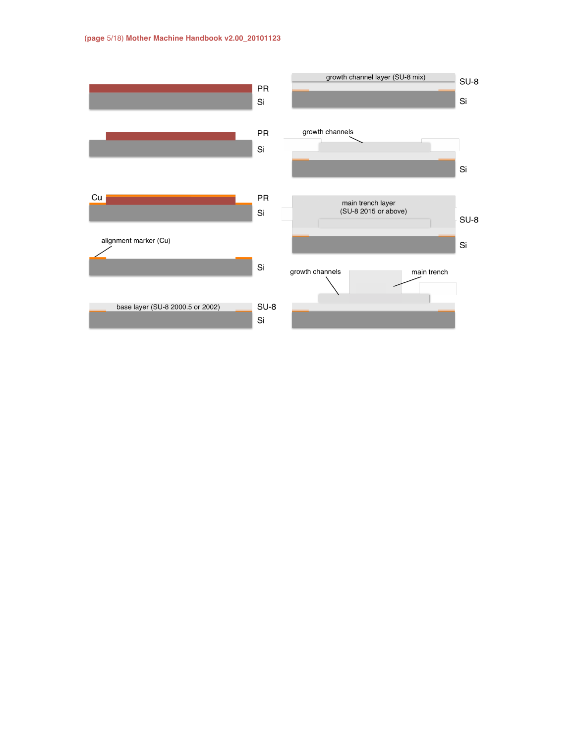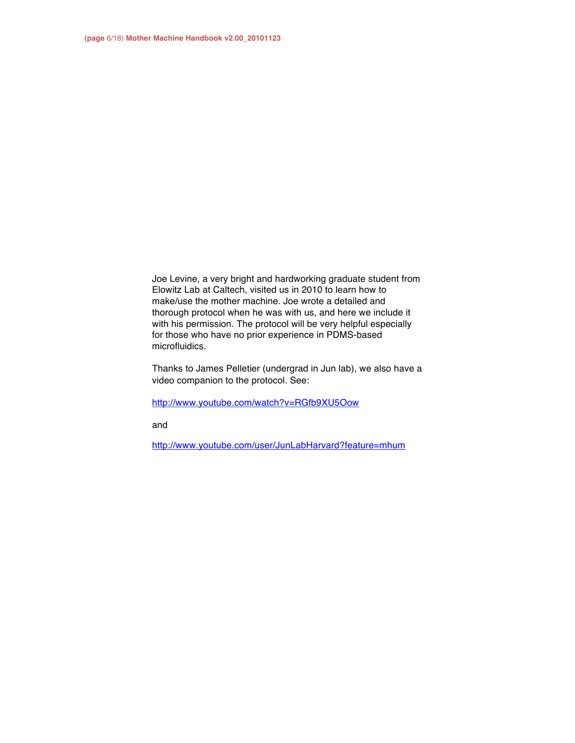Joe Levine, a very bright and hardworking graduate student from Elowitz Lab at Caltech, visited us in 2010 to learn how to make/use the mother machine. Joe wrote a detailed and thorough protocol when he was with us, and here we include it with his permission. The protocol will be very helpful especially for those who have no prior experience in PDMS-based microfluidics.

Thanks to James Pelletier (undergrad in Jun lab), we also have a video companion to the protocol. See:

http://www.youtube.com/watch?v=RGfb9XU5Oow

and

http://www.youtube.com/user/JunLabHarvard?feature=mhum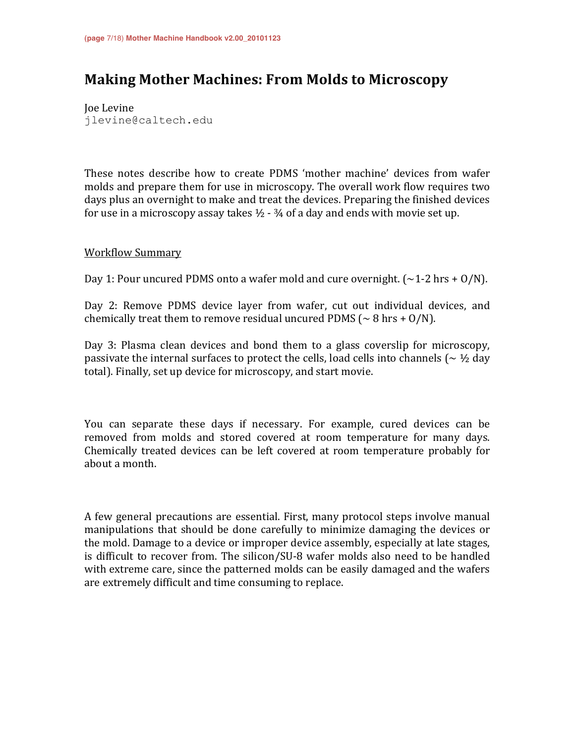## **Making Mother Machines: From Molds to Microscopy**

Joe Levine jlevine@caltech.edu

These notes describe how to create PDMS 'mother machine' devices from wafer molds and prepare them for use in microscopy. The overall work flow requires two days plus an overnight to make and treat the devices. Preparing the finished devices for use in a microscopy assay takes  $\frac{1}{2}$  -  $\frac{3}{4}$  of a day and ends with movie set up.

### **Workflow Summary**

Day 1: Pour uncured PDMS onto a wafer mold and cure overnight. ( $\sim$ 1-2 hrs + O/N).

Day 2: Remove PDMS device layer from wafer, cut out individual devices, and chemically treat them to remove residual uncured PDMS ( $\sim$  8 hrs + O/N).

Day 3: Plasma clean devices and bond them to a glass coverslip for microscopy, passivate the internal surfaces to protect the cells, load cells into channels ( $\sim \frac{1}{2}$  day total). Finally, set up device for microscopy, and start movie.

You can separate these days if necessary. For example, cured devices can be removed from molds and stored covered at room temperature for many days. Chemically treated devices can be left covered at room temperature probably for about a month.

A few general precautions are essential. First, many protocol steps involve manual manipulations that should be done carefully to minimize damaging the devices or the mold. Damage to a device or improper device assembly, especially at late stages, is difficult to recover from. The silicon/SU-8 wafer molds also need to be handled with extreme care, since the patterned molds can be easily damaged and the wafers are extremely difficult and time consuming to replace.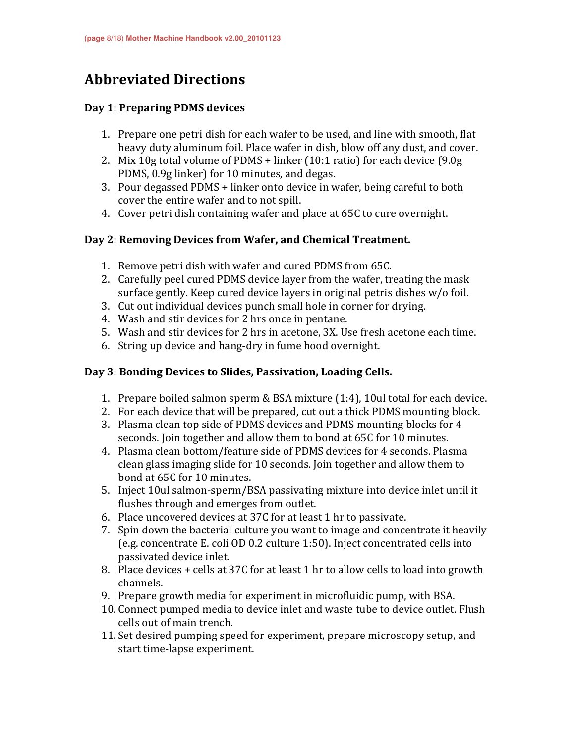## **Abbreviated'Directions**

### **Day'1**:!**Preparing'PDMS'devices**

- 1. Prepare one petri dish for each wafer to be used, and line with smooth, flat heavy duty aluminum foil. Place wafer in dish, blow off any dust, and cover.
- 2. Mix 10g total volume of PDMS + linker (10:1 ratio) for each device (9.0g PDMS, 0.9g linker) for 10 minutes, and degas.
- 3. Pour degassed PDMS + linker onto device in wafer, being careful to both cover the entire wafer and to not spill.
- 4. Cover petri dish containing wafer and place at 65C to cure overnight.

## Day 2: Removing Devices from Wafer, and Chemical Treatment.

- 1. Remove petri dish with wafer and cured PDMS from 65C.
- 2. Carefully peel cured PDMS device layer from the wafer, treating the mask surface gently. Keep cured device layers in original petris dishes  $w/o$  foil.
- 3. Cut out individual devices punch small hole in corner for drying.
- 4. Wash and stir devices for 2 hrs once in pentane.
- 5. Wash and stir devices for 2 hrs in acetone, 3X. Use fresh acetone each time.
- 6. String up device and hang-dry in fume hood overnight.

## Day 3: Bonding Devices to Slides, Passivation, Loading Cells.

- 1. Prepare boiled salmon sperm & BSA mixture  $(1:4)$ , 10ul total for each device.
- 2. For each device that will be prepared, cut out a thick PDMS mounting block.
- 3. Plasma clean top side of PDMS devices and PDMS mounting blocks for 4 seconds. Join together and allow them to bond at 65C for 10 minutes.
- 4. Plasma clean bottom/feature side of PDMS devices for 4 seconds. Plasma clean glass imaging slide for 10 seconds. Join together and allow them to bond at 65C for 10 minutes.
- 5. Inject 10ul salmon-sperm/BSA passivating mixture into device inlet until it flushes through and emerges from outlet.
- 6. Place uncovered devices at 37C for at least 1 hr to passivate.
- 7. Spin down the bacterial culture you want to image and concentrate it heavily (e.g. concentrate E. coli OD 0.2 culture 1:50). Inject concentrated cells into passivated device inlet.
- 8. Place devices + cells at 37C for at least 1 hr to allow cells to load into growth channels.
- 9. Prepare growth media for experiment in microfluidic pump, with BSA.
- 10. Connect pumped media to device inlet and waste tube to device outlet. Flush cells out of main trench.
- 11. Set desired pumping speed for experiment, prepare microscopy setup, and start time-lapse experiment.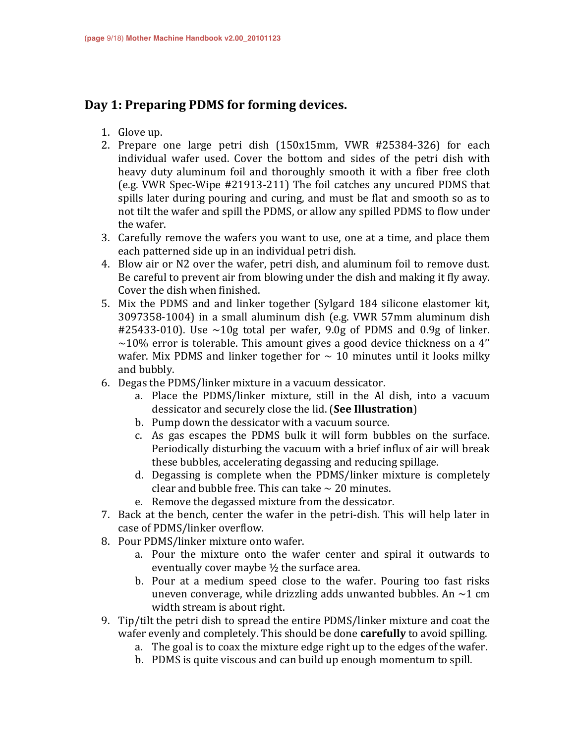## Day 1: Preparing PDMS for forming devices.

- 1. Glove up.
- 2. Prepare one large petri dish  $(150x15mm, VWR$  #25384-326) for each individual wafer used. Cover the bottom and sides of the petri dish with heavy duty aluminum foil and thoroughly smooth it with a fiber free cloth (e.g. VWR Spec-Wipe  $#21913-211$ ) The foil catches any uncured PDMS that spills later during pouring and curing, and must be flat and smooth so as to not tilt the wafer and spill the PDMS, or allow any spilled PDMS to flow under the wafer.
- 3. Carefully remove the wafers you want to use, one at a time, and place them each patterned side up in an individual petri dish.
- 4. Blow air or N2 over the wafer, petri dish, and aluminum foil to remove dust. Be careful to prevent air from blowing under the dish and making it fly away. Cover the dish when finished.
- 5. Mix the PDMS and and linker together (Sylgard 184 silicone elastomer kit, 3097358-1004) in a small aluminum dish (e.g. VWR 57mm aluminum dish #25433-010). Use  $\sim$ 10g total per wafer, 9.0g of PDMS and 0.9g of linker.  $\sim$ 10% error is tolerable. This amount gives a good device thickness on a 4" wafer. Mix PDMS and linker together for  $\sim$  10 minutes until it looks milky and bubbly.
- 6. Degas the PDMS/linker mixture in a vacuum dessicator.
	- a. Place the PDMS/linker mixture, still in the Al dish, into a vacuum dessicator!and!securely!close!the!lid.!(**See'Illustration**)
	- b. Pump down the dessicator with a vacuum source.
	- c. As gas escapes the PDMS bulk it will form bubbles on the surface. Periodically disturbing the vacuum with a brief influx of air will break these bubbles, accelerating degassing and reducing spillage.
	- d. Degassing is complete when the PDMS/linker mixture is completely clear and bubble free. This can take  $\sim$  20 minutes.
	- e. Remove the degassed mixture from the dessicator.
- 7. Back at the bench, center the wafer in the petri-dish. This will help later in case of PDMS/linker overflow.
- 8. Pour PDMS/linker mixture onto wafer.
	- a. Pour the mixture onto the wafer center and spiral it outwards to eventually cover maybe  $\frac{1}{2}$  the surface area.
	- b. Pour at a medium speed close to the wafer. Pouring too fast risks uneven converage, while drizzling adds unwanted bubbles. An  $\sim$ 1 cm width stream is about right.
- 9. Tip/tilt the petri dish to spread the entire PDMS/linker mixture and coat the wafer evenly and completely. This should be done **carefully** to avoid spilling.
	- a. The goal is to coax the mixture edge right up to the edges of the wafer.
	- b. PDMS is quite viscous and can build up enough momentum to spill.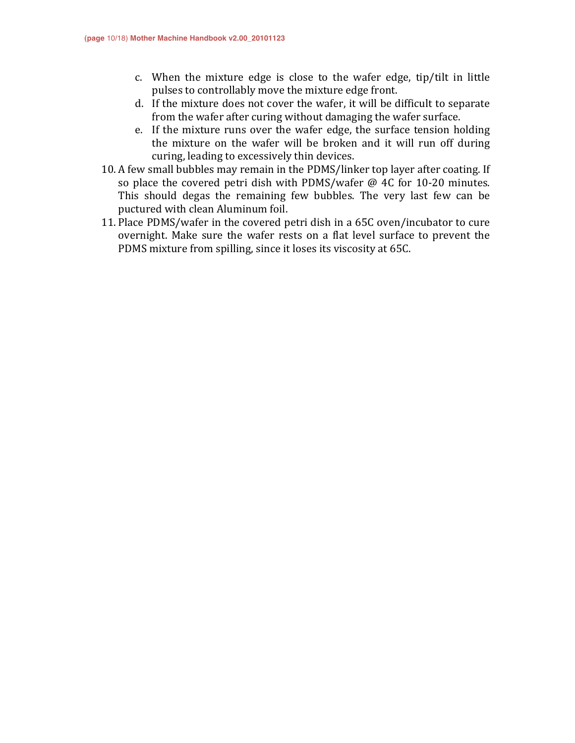- c. When the mixture edge is close to the wafer edge, tip/tilt in little pulses to controllably move the mixture edge front.
- d. If the mixture does not cover the wafer, it will be difficult to separate from the wafer after curing without damaging the wafer surface.
- e. If the mixture runs over the wafer edge, the surface tension holding the mixture on the wafer will be broken and it will run off during curing, leading to excessively thin devices.
- 10. A few small bubbles may remain in the PDMS/linker top layer after coating. If so place the covered petri dish with PDMS/wafer  $@$  4C for 10-20 minutes. This should degas the remaining few bubbles. The very last few can be puctured with clean Aluminum foil.
- 11. Place PDMS/wafer in the covered petri dish in a 65C oven/incubator to cure overnight. Make sure the wafer rests on a flat level surface to prevent the PDMS mixture from spilling, since it loses its viscosity at 65C.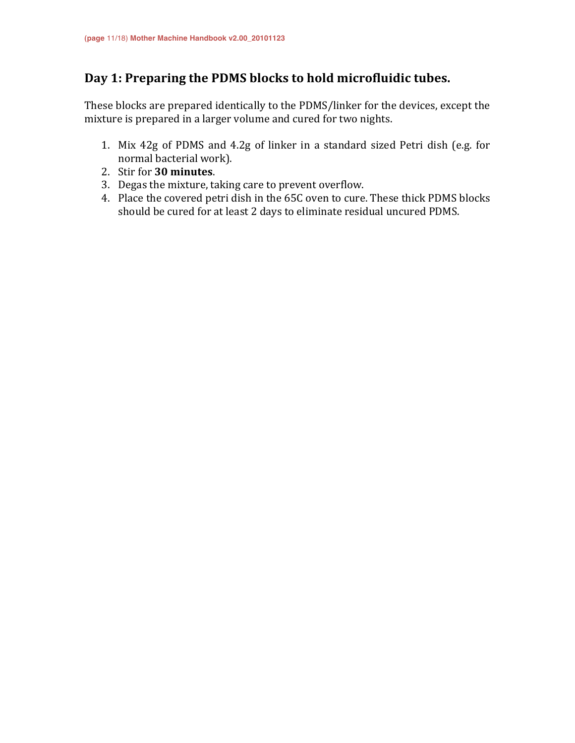## Day 1: Preparing the PDMS blocks to hold microfluidic tubes.

These blocks are prepared identically to the PDMS/linker for the devices, except the mixture is prepared in a larger volume and cured for two nights.

- 1. Mix 42g of PDMS and 4.2g of linker in a standard sized Petri dish (e.g. for normal bacterial work).
- 2. Stir for **30 minutes**.
- 3. Degas the mixture, taking care to prevent overflow.
- 4. Place the covered petri dish in the 65C oven to cure. These thick PDMS blocks should be cured for at least 2 days to eliminate residual uncured PDMS.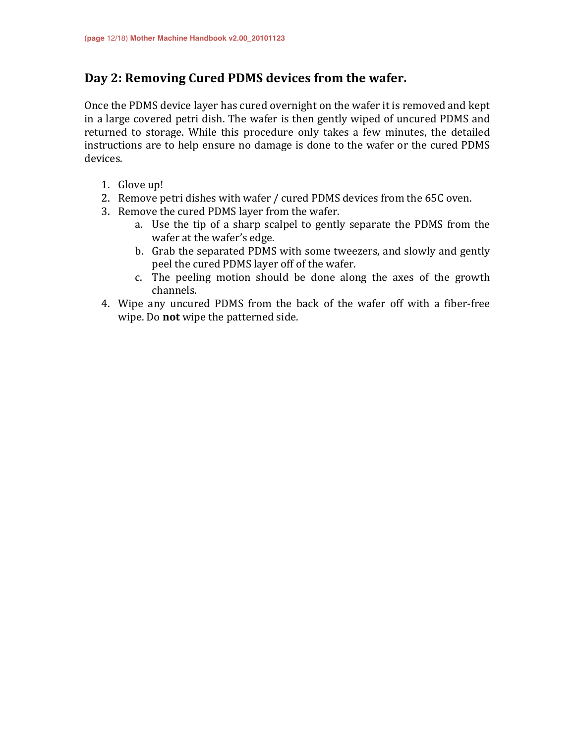## Day 2: Removing Cured PDMS devices from the wafer.

Once the PDMS device layer has cured overnight on the wafer it is removed and kept in a large covered petri dish. The wafer is then gently wiped of uncured PDMS and returned to storage. While this procedure only takes a few minutes, the detailed instructions are to help ensure no damage is done to the wafer or the cured PDMS devices.

- 1. Glove up!
- 2. Remove petri dishes with wafer / cured PDMS devices from the 65C oven.
- 3. Remove the cured PDMS layer from the wafer.
	- a. Use the tip of a sharp scalpel to gently separate the PDMS from the wafer at the wafer's edge.
	- b. Grab the separated PDMS with some tweezers, and slowly and gently peel the cured PDMS layer off of the wafer.
	- c. The peeling motion should be done along the axes of the growth channels.
- 4. Wipe any uncured PDMS from the back of the wafer off with a fiber-free wipe. Do **not** wipe the patterned side.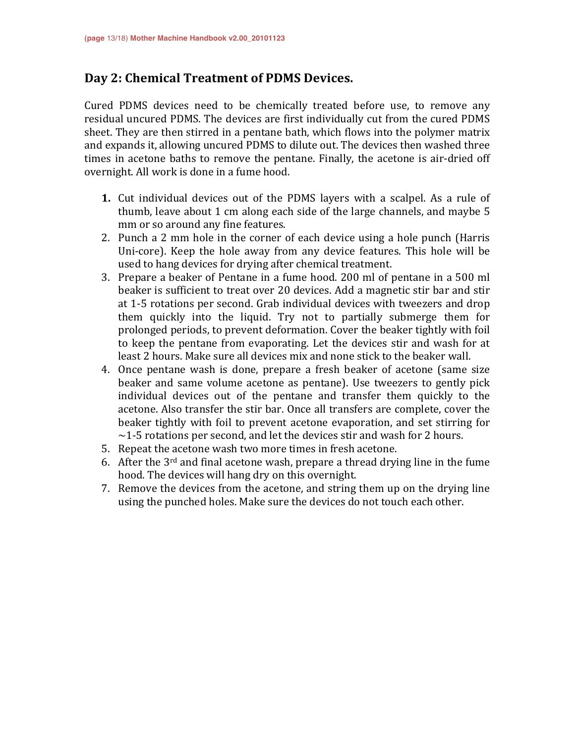## Day 2: Chemical Treatment of PDMS Devices.

Cured PDMS devices need to be chemically treated before use, to remove any residual uncured PDMS. The devices are first individually cut from the cured PDMS sheet. They are then stirred in a pentane bath, which flows into the polymer matrix and expands it, allowing uncured PDMS to dilute out. The devices then washed three times in acetone baths to remove the pentane. Finally, the acetone is air-dried off overnight. All work is done in a fume hood.

- **1.** Cut individual devices out of the PDMS layers with a scalpel. As a rule of thumb, leave about 1 cm along each side of the large channels, and maybe 5 mm or so around any fine features.
- 2. Punch a 2 mm hole in the corner of each device using a hole punch (Harris Uni-core). Keep the hole away from any device features. This hole will be used to hang devices for drying after chemical treatment.
- 3. Prepare a beaker of Pentane in a fume hood. 200 ml of pentane in a 500 ml beaker is sufficient to treat over 20 devices. Add a magnetic stir bar and stir at 1-5 rotations per second. Grab individual devices with tweezers and drop them quickly into the liquid. Try not to partially submerge them for prolonged periods, to prevent deformation. Cover the beaker tightly with foil to keep the pentane from evaporating. Let the devices stir and wash for at least 2 hours. Make sure all devices mix and none stick to the beaker wall.
- 4. Once pentane wash is done, prepare a fresh beaker of acetone (same size beaker and same volume acetone as pentane). Use tweezers to gently pick individual devices out of the pentane and transfer them quickly to the acetone. Also transfer the stir bar. Once all transfers are complete, cover the beaker tightly with foil to prevent acetone evaporation, and set stirring for  $\sim$ 1-5 rotations per second, and let the devices stir and wash for 2 hours.
- 5. Repeat the acetone wash two more times in fresh acetone.
- 6. After the  $3<sup>rd</sup>$  and final acetone wash, prepare a thread drying line in the fume hood. The devices will hang dry on this overnight.
- 7. Remove the devices from the acetone, and string them up on the drying line using the punched holes. Make sure the devices do not touch each other.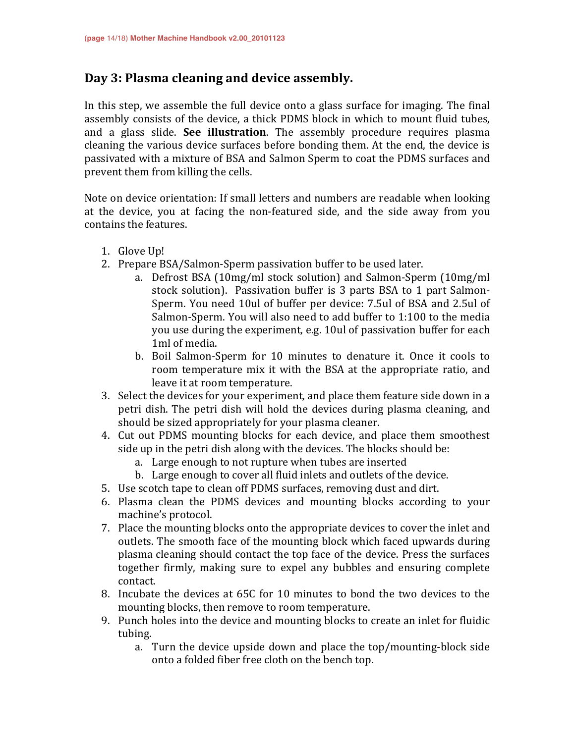## Day 3: Plasma cleaning and device assembly.

In this step, we assemble the full device onto a glass surface for imaging. The final assembly consists of the device, a thick PDMS block in which to mount fluid tubes, and a glass slide. **See illustration**. The assembly procedure requires plasma cleaning the various device surfaces before bonding them. At the end, the device is passivated with a mixture of BSA and Salmon Sperm to coat the PDMS surfaces and prevent them from killing the cells.

Note on device orientation: If small letters and numbers are readable when looking at the device, you at facing the non-featured side, and the side away from you contains the features.

- 1. Glove Up!
- 2. Prepare BSA/Salmon-Sperm passivation buffer to be used later.
	- a. Defrost BSA  $(10mg/ml$  stock solution) and Salmon-Sperm  $(10mg/ml)$ stock solution). Passivation buffer is 3 parts BSA to 1 part Salmon-Sperm. You need 10ul of buffer per device: 7.5ul of BSA and 2.5ul of Salmon-Sperm. You will also need to add buffer to 1:100 to the media you use during the experiment, e.g. 10ul of passivation buffer for each 1ml of media.
	- b. Boil Salmon-Sperm for 10 minutes to denature it. Once it cools to room temperature mix it with the BSA at the appropriate ratio, and leave it at room temperature.
- 3. Select the devices for your experiment, and place them feature side down in a petri dish. The petri dish will hold the devices during plasma cleaning, and should be sized appropriately for your plasma cleaner.
- 4. Cut out PDMS mounting blocks for each device, and place them smoothest side up in the petri dish along with the devices. The blocks should be:
	- a. Large enough to not rupture when tubes are inserted
	- b. Large enough to cover all fluid inlets and outlets of the device.
- 5. Use scotch tape to clean off PDMS surfaces, removing dust and dirt.
- 6. Plasma clean the PDMS devices and mounting blocks according to your machine's protocol.
- 7. Place the mounting blocks onto the appropriate devices to cover the inlet and outlets. The smooth face of the mounting block which faced upwards during plasma cleaning should contact the top face of the device. Press the surfaces together firmly, making sure to expel any bubbles and ensuring complete contact.
- 8. Incubate the devices at 65C for 10 minutes to bond the two devices to the mounting blocks, then remove to room temperature.
- 9. Punch holes into the device and mounting blocks to create an inlet for fluidic tubing.
	- a. Turn the device upside down and place the top/mounting-block side onto a folded fiber free cloth on the bench top.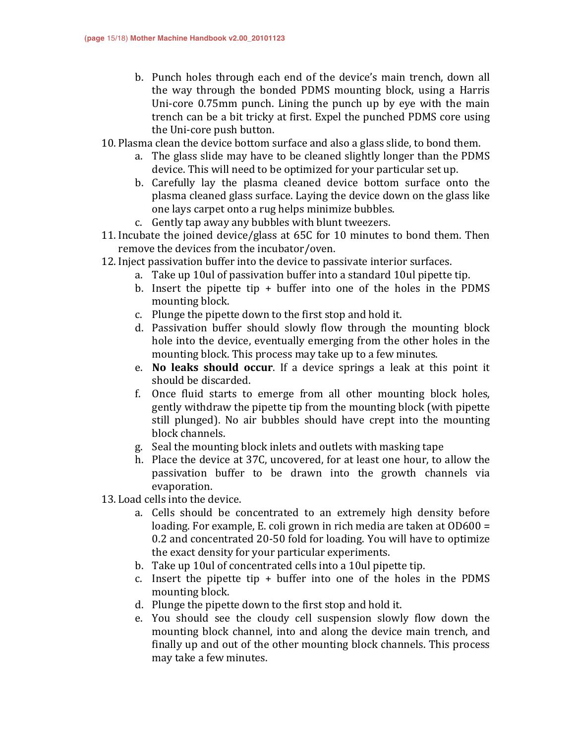- b. Punch holes through each end of the device's main trench, down all the way through the bonded PDMS mounting block, using a Harris Uni-core  $0.75$ mm punch. Lining the punch up by eye with the main trench can be a bit tricky at first. Expel the punched PDMS core using the Uni-core push button.
- 10. Plasma clean the device bottom surface and also a glass slide, to bond them.
	- a. The glass slide may have to be cleaned slightly longer than the PDMS device. This will need to be optimized for your particular set up.
	- b. Carefully lay the plasma cleaned device bottom surface onto the plasma cleaned glass surface. Laying the device down on the glass like one lays carpet onto a rug helps minimize bubbles.
	- c. Gently tap away any bubbles with blunt tweezers.
- 11. Incubate the joined device/glass at 65C for 10 minutes to bond them. Then remove the devices from the incubator/oven.
- 12. Inject passivation buffer into the device to passivate interior surfaces.
	- a. Take up 10ul of passivation buffer into a standard 10ul pipette tip.
	- b. Insert the pipette tip  $+$  buffer into one of the holes in the PDMS mounting block.
	- c. Plunge the pipette down to the first stop and hold it.
	- d. Passivation buffer should slowly flow through the mounting block hole into the device, eventually emerging from the other holes in the mounting block. This process may take up to a few minutes.
	- e. **No leaks should occur**. If a device springs a leak at this point it should be discarded.
	- f. Once fluid starts to emerge from all other mounting block holes, gently withdraw the pipette tip from the mounting block (with pipette still plunged). No air bubbles should have crept into the mounting block channels.
	- g. Seal the mounting block inlets and outlets with masking tape
	- h. Place the device at 37C, uncovered, for at least one hour, to allow the passivation buffer to be drawn into the growth channels via evaporation.
- 13. Load cells into the device.
	- a. Cells should be concentrated to an extremely high density before loading. For example, E. coli grown in rich media are taken at  $OD600 =$ 0.2 and concentrated 20-50 fold for loading. You will have to optimize the exact density for your particular experiments.
	- b. Take up 10ul of concentrated cells into a 10ul pipette tip.
	- c. Insert the pipette tip  $+$  buffer into one of the holes in the PDMS mounting block.
	- d. Plunge the pipette down to the first stop and hold it.
	- e. You should see the cloudy cell suspension slowly flow down the mounting block channel, into and along the device main trench, and finally up and out of the other mounting block channels. This process may take a few minutes.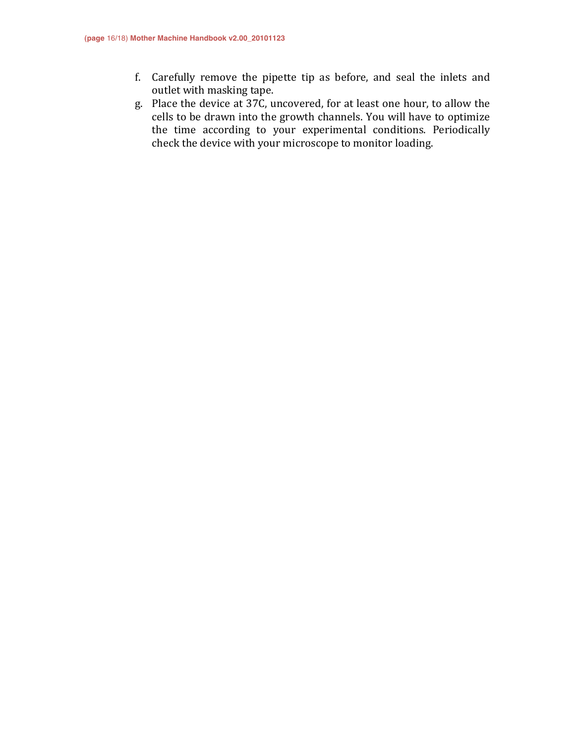- f. Carefully remove the pipette tip as before, and seal the inlets and outlet with masking tape.
- g. Place the device at 37C, uncovered, for at least one hour, to allow the cells to be drawn into the growth channels. You will have to optimize the time according to your experimental conditions. Periodically check the device with your microscope to monitor loading.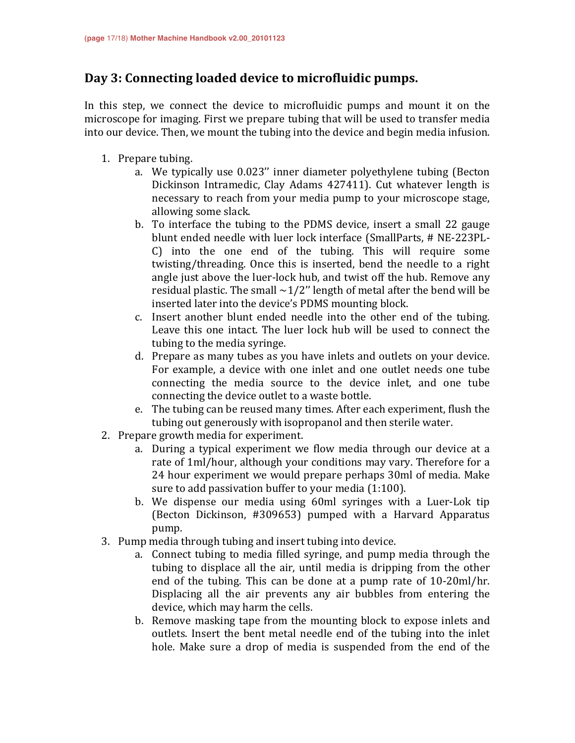## Day 3: Connecting loaded device to microfluidic pumps.

In this step, we connect the device to microfluidic pumps and mount it on the microscope for imaging. First we prepare tubing that will be used to transfer media into our device. Then, we mount the tubing into the device and begin media infusion.

- 1. Prepare tubing.
	- a. We typically use 0.023" inner diameter polyethylene tubing (Becton Dickinson Intramedic, Clay Adams 427411). Cut whatever length is necessary to reach from your media pump to your microscope stage, allowing some slack.
	- b. To interface the tubing to the PDMS device, insert a small 22 gauge blunt ended needle with luer lock interface (SmallParts, # NE-223PL-C) into the one end of the tubing. This will require some twisting/threading. Once this is inserted, bend the needle to a right angle just above the luer-lock hub, and twist off the hub. Remove any residual plastic. The small  $\sim$ 1/2" length of metal after the bend will be inserted later into the device's PDMS mounting block.
	- c. Insert another blunt ended needle into the other end of the tubing. Leave this one intact. The luer lock hub will be used to connect the tubing to the media syringe.
	- d. Prepare as many tubes as you have inlets and outlets on your device. For example, a device with one inlet and one outlet needs one tube connecting the media source to the device inlet, and one tube connecting the device outlet to a waste bottle.
	- e. The tubing can be reused many times. After each experiment, flush the tubing out generously with isopropanol and then sterile water.
- 2. Prepare growth media for experiment.
	- a. During a typical experiment we flow media through our device at a rate of 1ml/hour, although your conditions may vary. Therefore for a 24 hour experiment we would prepare perhaps 30ml of media. Make sure to add passivation buffer to your media  $(1:100)$ .
	- b. We dispense our media using 60ml syringes with a Luer-Lok tip (Becton Dickinson, #309653) pumped with a Harvard Apparatus pump.
- 3. Pump media through tubing and insert tubing into device.
	- a. Connect tubing to media filled syringe, and pump media through the tubing to displace all the air, until media is dripping from the other end of the tubing. This can be done at a pump rate of 10-20ml/hr. Displacing all the air prevents any air bubbles from entering the device, which may harm the cells.
	- b. Remove masking tape from the mounting block to expose inlets and outlets. Insert the bent metal needle end of the tubing into the inlet hole. Make sure a drop of media is suspended from the end of the